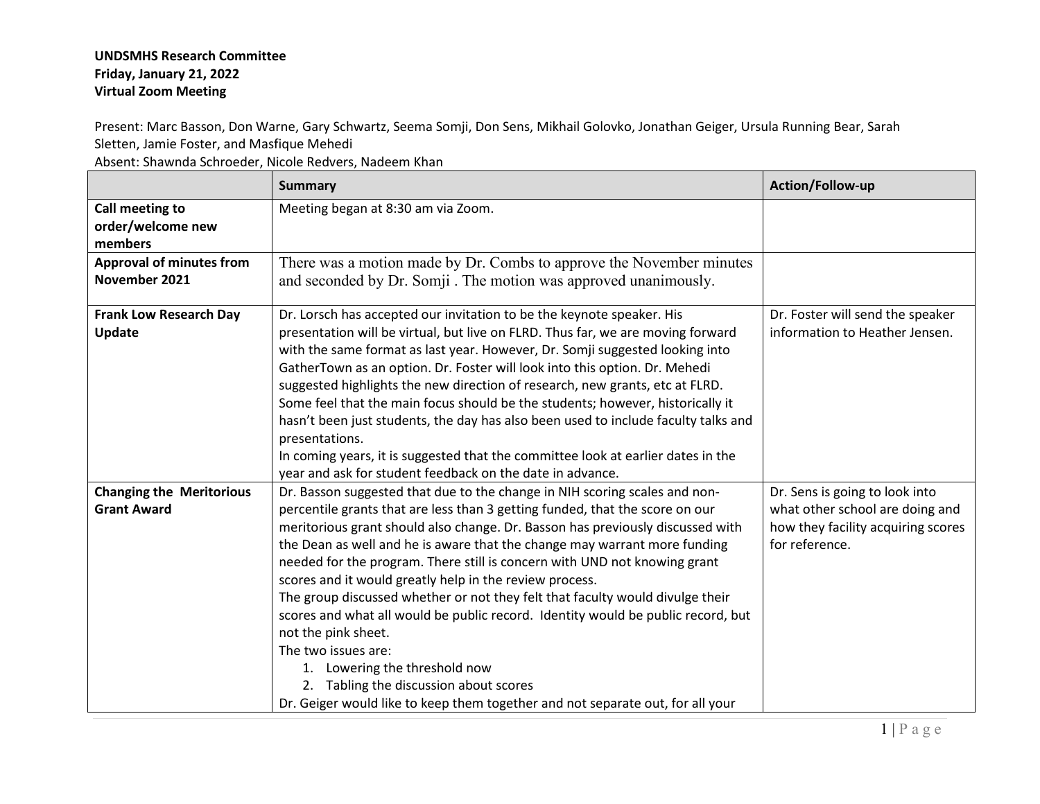## **UNDSMHS Research Committee Friday, January 21, 2022 Virtual Zoom Meeting**

Present: Marc Basson, Don Warne, Gary Schwartz, Seema Somji, Don Sens, Mikhail Golovko, Jonathan Geiger, Ursula Running Bear, Sarah Sletten, Jamie Foster, and Masfique Mehedi

Absent: Shawnda Schroeder, Nicole Redvers, Nadeem Khan

|                                 | <b>Summary</b>                                                                                                                                             | Action/Follow-up                   |
|---------------------------------|------------------------------------------------------------------------------------------------------------------------------------------------------------|------------------------------------|
| Call meeting to                 | Meeting began at 8:30 am via Zoom.                                                                                                                         |                                    |
| order/welcome new               |                                                                                                                                                            |                                    |
| members                         |                                                                                                                                                            |                                    |
| <b>Approval of minutes from</b> | There was a motion made by Dr. Combs to approve the November minutes                                                                                       |                                    |
| November 2021                   | and seconded by Dr. Somji. The motion was approved unanimously.                                                                                            |                                    |
|                                 |                                                                                                                                                            |                                    |
| <b>Frank Low Research Day</b>   | Dr. Lorsch has accepted our invitation to be the keynote speaker. His                                                                                      | Dr. Foster will send the speaker   |
| <b>Update</b>                   | presentation will be virtual, but live on FLRD. Thus far, we are moving forward                                                                            | information to Heather Jensen.     |
|                                 | with the same format as last year. However, Dr. Somji suggested looking into<br>GatherTown as an option. Dr. Foster will look into this option. Dr. Mehedi |                                    |
|                                 | suggested highlights the new direction of research, new grants, etc at FLRD.                                                                               |                                    |
|                                 | Some feel that the main focus should be the students; however, historically it                                                                             |                                    |
|                                 | hasn't been just students, the day has also been used to include faculty talks and                                                                         |                                    |
|                                 | presentations.                                                                                                                                             |                                    |
|                                 | In coming years, it is suggested that the committee look at earlier dates in the                                                                           |                                    |
|                                 | year and ask for student feedback on the date in advance.                                                                                                  |                                    |
| <b>Changing the Meritorious</b> | Dr. Basson suggested that due to the change in NIH scoring scales and non-                                                                                 | Dr. Sens is going to look into     |
| <b>Grant Award</b>              | percentile grants that are less than 3 getting funded, that the score on our                                                                               | what other school are doing and    |
|                                 | meritorious grant should also change. Dr. Basson has previously discussed with                                                                             | how they facility acquiring scores |
|                                 | the Dean as well and he is aware that the change may warrant more funding                                                                                  | for reference.                     |
|                                 | needed for the program. There still is concern with UND not knowing grant                                                                                  |                                    |
|                                 | scores and it would greatly help in the review process.                                                                                                    |                                    |
|                                 | The group discussed whether or not they felt that faculty would divulge their                                                                              |                                    |
|                                 | scores and what all would be public record. Identity would be public record, but                                                                           |                                    |
|                                 | not the pink sheet.                                                                                                                                        |                                    |
|                                 | The two issues are:                                                                                                                                        |                                    |
|                                 | 1. Lowering the threshold now                                                                                                                              |                                    |
|                                 | 2. Tabling the discussion about scores                                                                                                                     |                                    |
|                                 | Dr. Geiger would like to keep them together and not separate out, for all your                                                                             |                                    |